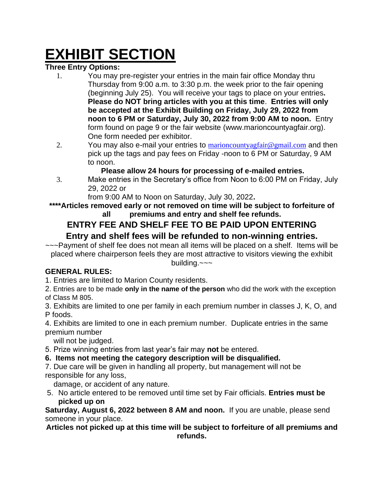# **EXHIBIT SECTION**

### **Three Entry Options:**

- 1. You may pre-register your entries in the main fair office Monday thru Thursday from 9:00 a.m. to 3:30 p.m. the week prior to the fair opening (beginning July 25). You will receive your tags to place on your entries**. Please do NOT bring articles with you at this time**. **Entries will only be accepted at the Exhibit Building on Friday, July 29, 2022 from noon to 6 PM or Saturday, July 30, 2022 from 9:00 AM to noon.** Entry form found on page 9 or the fair website (www.marioncountyagfair.org). One form needed per exhibitor.
- 2. You may also e-mail your entries to [marioncountyagfair@gmail.com](mailto:marioncountyagfair@gmail.com) and then pick up the tags and pay fees on Friday -noon to 6 PM or Saturday, 9 AM to noon.

### **Please allow 24 hours for processing of e-mailed entries.**

3. Make entries in the Secretary's office from Noon to 6:00 PM on Friday, July 29, 2022 or

from 9:00 AM to Noon on Saturday, July 30, 2022**.** 

#### **\*\*\*\*Articles removed early or not removed on time will be subject to forfeiture of all premiums and entry and shelf fee refunds.**

### **ENTRY FEE AND SHELF FEE TO BE PAID UPON ENTERING**

### **Entry and shelf fees will be refunded to non-winning entries.**

~~~Payment of shelf fee does not mean all items will be placed on a shelf. Items will be placed where chairperson feels they are most attractive to visitors viewing the exhibit building.~~~

### **GENERAL RULES:**

1. Entries are limited to Marion County residents.

2. Entries are to be made **only in the name of the person** who did the work with the exception of Class M 805.

3. Exhibits are limited to one per family in each premium number in classes J, K, O, and P foods.

4. Exhibits are limited to one in each premium number. Duplicate entries in the same premium number

will not be judged.

5. Prize winning entries from last year's fair may **not** be entered.

### **6. Items not meeting the category description will be disqualified.**

7. Due care will be given in handling all property, but management will not be responsible for any loss,

damage, or accident of any nature.

5. No article entered to be removed until time set by Fair officials. **Entries must be picked up on**

**Saturday, August 6, 2022 between 8 AM and noon.** If you are unable, please send someone in your place.

#### **Articles not picked up at this time will be subject to forfeiture of all premiums and refunds.**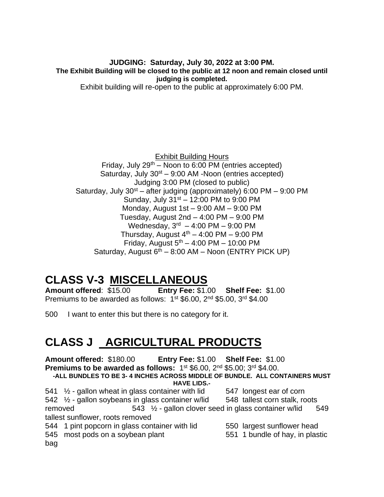**JUDGING: Saturday, July 30, 2022 at 3:00 PM. The Exhibit Building will be closed to the public at 12 noon and remain closed until judging is completed.**

Exhibit building will re-open to the public at approximately 6:00 PM.

Exhibit Building Hours Friday, July  $29<sup>th</sup>$  – Noon to 6:00 PM (entries accepted) Saturday, July  $30<sup>st</sup> - 9:00$  AM -Noon (entries accepted) Judging 3:00 PM (closed to public) Saturday, July  $30^{st}$  – after judging (approximately) 6:00 PM – 9:00 PM Sunday, July  $31<sup>st</sup> - 12:00$  PM to 9:00 PM Monday, August 1st – 9:00 AM – 9:00 PM Tuesday, August 2nd – 4:00 PM – 9:00 PM Wednesday, 3<sup>rd</sup> - 4:00 PM - 9:00 PM Thursday, August  $4<sup>th</sup> - 4:00$  PM – 9:00 PM Friday, August  $5<sup>th</sup> - 4:00$  PM – 10:00 PM Saturday, August  $6^{th}$  – 8:00 AM – Noon (ENTRY PICK UP)

### **CLASS V-3 MISCELLANEOUS**

**Amount offered**: \$15.00 **Entry Fee:** \$1.00 **Shelf Fee:** \$1.00 Premiums to be awarded as follows: 1<sup>st</sup> \$6.00, 2<sup>nd</sup> \$5.00, 3<sup>rd</sup> \$4.00

500 I want to enter this but there is no category for it.

### **CLASS J AGRICULTURAL PRODUCTS**

**Amount offered:** \$180.00 **Entry Fee:** \$1.00 **Shelf Fee:** \$1.00 **Premiums to be awarded as follows:** 1<sup>st</sup> \$6.00, 2<sup>nd</sup> \$5.00; 3<sup>rd</sup> \$4.00. **-ALL BUNDLES TO BE 3- 4 INCHES ACROSS MIDDLE OF BUNDLE. ALL CONTAINERS MUST** 

**HAVE LIDS.-**

541  $\frac{1}{2}$  - gallon wheat in glass container with lid  $\frac{547}{547}$  longest ear of corn

542 ½ - gallon soybeans in glass container w/lid 548 tallest corn stalk, roots removed  $543 \frac{1}{2}$  - gallon clover seed in glass container w/lid  $549$ tallest sunflower, roots removed

544 1 pint popcorn in glass container with lid 550 largest sunflower head

- 545 most pods on a soybean plant 551 1 bundle of hay, in plastic bag
- -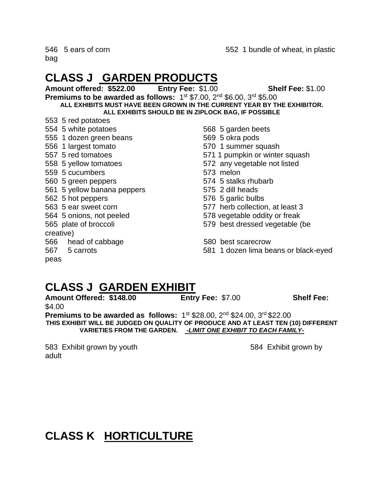### **CLASS J GARDEN PRODUCTS**

**Amount offered: \$522.00 Entry Fee:** \$1.00 **Shelf Fee:** \$1.00 **Premiums to be awarded as follows:** 1<sup>st</sup> \$7.00, 2<sup>nd</sup> \$6.00, 3<sup>rd</sup> \$5.00 **ALL EXHIBITS MUST HAVE BEEN GROWN IN THE CURRENT YEAR BY THE EXHIBITOR. ALL EXHIBITS SHOULD BE IN ZIPLOCK BAG, IF POSSIBLE**

- 553 5 red potatoes
- 554 5 white potatoes 568 5 garden beets
- 555 1 dozen green beans 569 5 okra pods
- 556 1 largest tomato 570 1 summer squash
- 557 5 red tomatoes 571 1 pumpkin or winter squash
- 558 5 yellow tomatoes 572 any vegetable not listed
- 559 5 cucumbers 573 melon
- 560 5 green peppers 574 5 stalks rhubarb
- 561 5 yellow banana peppers 575 2 dill heads
- 562 5 hot peppers 576 5 garlic bulbs
- 563 5 ear sweet corn 577 herb collection, at least 3
- 
- 

- 
- 
- 
- 
- 
- 
- 
- 

creative)

- 566 head of cabbage 580 best scarecrow
- 
- 
- 564 5 onions, not peeled 578 vegetable oddity or freak
- 565 plate of broccoli 579 best dressed vegetable (be
	-
- 567 5 carrots 581 1 dozen lima beans or black-eyed

### peas

### **CLASS J GARDEN EXHIBIT**

**Amount Offered: \$148.00 Entry Fee:** \$7.00 **Shelf Fee:**  \$4.00 **Premiums to be awarded as follows:** 1<sup>st</sup> \$28.00, 2<sup>nd</sup> \$24.00, 3<sup>rd</sup> \$22.00

**THIS EXHIBIT WILL BE JUDGED ON QUALITY OF PRODUCE AND AT LEAST TEN (10) DIFFERENT VARIETIES FROM THE GARDEN.** *-LIMIT ONE EXHIBIT TO EACH FAMILY-*

583 Exhibit grown by youth 584 Exhibit grown by adult

## **CLASS K HORTICULTURE**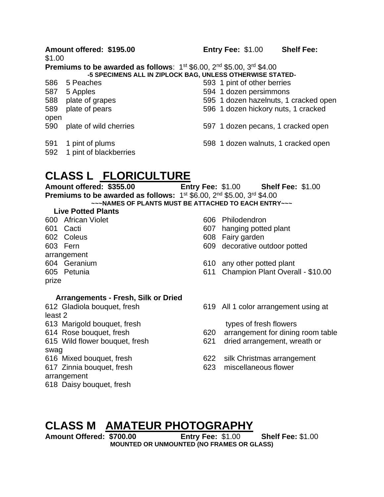\$1.00

**Premiums to be awarded as follows:** 1<sup>st</sup> \$6.00, 2<sup>nd</sup> \$5.00, 3<sup>rd</sup> \$4.00 **-5 SPECIMENS ALL IN ZIPLOCK BAG, UNLESS OTHERWISE STATED-**

- 586 5 Peaches 593 1 pint of other berries
- 587 5 Apples 594 1 dozen persimmons
- 588 plate of grapes 595 1 dozen hazelnuts, 1 cracked open
- 589 plate of pears 596 1 dozen hickory nuts, 1 cracked
- open
- 590 plate of wild cherries 597 1 dozen pecans, 1 cracked open
- 591 1 pint of plums 598 1 dozen walnuts, 1 cracked open
- 592 1 pint of blackberries

### **CLASS L FLORICULTURE**

**Amount offered: \$355.00 Entry Fee:** \$1.00 **Shelf Fee:** \$1.00 **Premiums to be awarded as follows:** 1<sup>st</sup> \$6.00, 2<sup>nd</sup> \$5.00, 3<sup>rd</sup> \$4.00

**~~~NAMES OF PLANTS MUST BE ATTACHED TO EACH ENTRY~~~**

#### **Live Potted Plants**

- 600 African Violet 606 Philodendron
- 
- 
- 
- arrangement
- 
- 
- prize
- 
- 601 Cacti 607 hanging potted plant
- 602 Coleus 608 Fairy garden
- 603 Fern 609 decorative outdoor potted
- 604 Geranium 610 any other potted plant
- 605 Petunia 611 Champion Plant Overall \$10.00

#### **Arrangements - Fresh, Silk or Dried**

- least 2
- 613 Marigold bouquet, fresh types of fresh flowers
- 
- 

swag

- 
- 

arrangement

618 Daisy bouquet, fresh

612 Gladiola bouquet, fresh 619 All 1 color arrangement using at

- 614 Rose bouquet, fresh 620 arrangement for dining room table
- 615 Wild flower bouquet, fresh 621 dried arrangement, wreath or
- 616 Mixed bouquet, fresh 622 silk Christmas arrangement
- 617 Zinnia bouquet, fresh 623 miscellaneous flower

### **CLASS M AMATEUR PHOTOGRAPHY**

**Amount Offered: \$700.00 Entry Fee:** \$1.00 **Shelf Fee:** \$1.00 **MOUNTED OR UNMOUNTED (NO FRAMES OR GLASS)**

**Amount offered: \$195.00 Entry Fee:** \$1.00 **Shelf Fee:**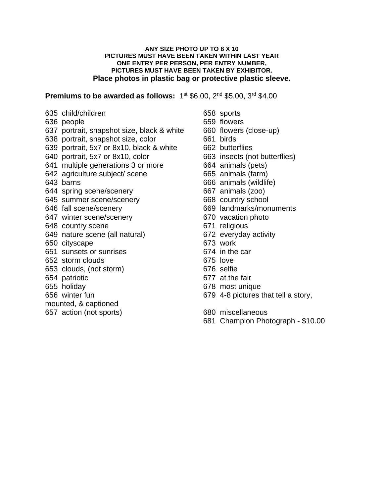#### **ANY SIZE PHOTO UP TO 8 X 10 PICTURES MUST HAVE BEEN TAKEN WITHIN LAST YEAR ONE ENTRY PER PERSON, PER ENTRY NUMBER, PICTURES MUST HAVE BEEN TAKEN BY EXHIBITOR. Place photos in plastic bag or protective plastic sleeve.**

**Premiums to be awarded as follows:** 1<sup>st</sup> \$6.00, 2<sup>nd</sup> \$5.00, 3<sup>rd</sup> \$4.00

- 635 child/children 658 sports
- 636 people 659 flowers
- 637 portrait, snapshot size, black & white 660 flowers (close-up)
- 638 portrait, snapshot size, color 661 birds
- 639 portrait, 5x7 or 8x10, black & white 662 butterflies
- 640 portrait, 5x7 or 8x10, color 663 insects (not butterflies)
- 641 multiple generations 3 or more 664 animals (pets)
- 642 agriculture subject/ scene 665 animals (farm)
- 
- 644 spring scene/scenery 667 animals (zoo)
- 645 summer scene/scenery 668 country school
- 
- 647 winter scene/scenery 670 vacation photo
- 648 country scene 671 religious
- 649 nature scene (all natural) 672 everyday activity
- 650 cityscape 673 work
- 651 sunsets or sunrises 674 in the car
- 652 storm clouds 675 love
- 653 clouds, (not storm) 676 selfie
- 
- 
- 
- mounted, & captioned
- 657 action (not sports) 680 miscellaneous
- 
- 
- 
- 
- 
- 
- 
- 
- 643 barns 666 animals (wildlife)
	-
	-
- 646 fall scene/scenery 669 landmarks/monuments
	-
	-
	-
	-
	-
	-
	-
- 654 patriotic 677 at the fair
- 655 holiday 678 most unique
- 656 winter fun 679 4-8 pictures that tell a story,
	-
	- 681 Champion Photograph \$10.00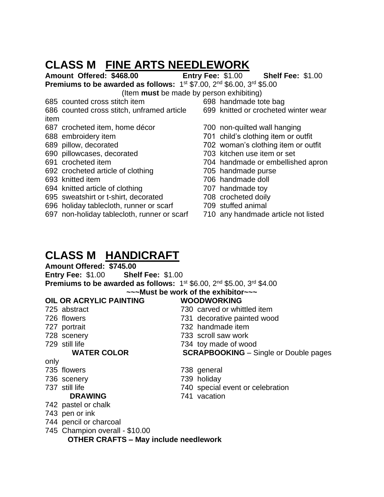### **CLASS M FINE ARTS NEEDLEWORK**

**Amount Offered: \$468.00 Entry Fee:** \$1.00 **Shelf Fee:** \$1.00

**Premiums to be awarded as follows:** 1<sup>st</sup> \$7.00, 2<sup>nd</sup> \$6.00, 3<sup>rd</sup> \$5.00

(Item **must** be made by person exhibiting)

- 685 counted cross stitch item 698 handmade tote bag
- 686 counted cross stitch, unframed article 699 knitted or crocheted winter wear item
- 687 crocheted item, home décor 700 non-quilted wall hanging
- 
- 
- 690 pillowcases, decorated 703 kitchen use item or set
- 
- 692 crocheted article of clothing 705 handmade purse
- 
- 694 knitted article of clothing 707 handmade toy
- 695 sweatshirt or t-shirt, decorated 708 crocheted doily
- 696 holiday tablecloth, runner or scarf 709 stuffed animal
- 697 non-holiday tablecloth, runner or scarf 710 any handmade article not listed
- 
- 
- 688 embroidery item 701 child's clothing item or outfit
- 689 pillow, decorated 702 woman's clothing item or outfit
	-
- 691 crocheted item 704 handmade or embellished apron
	-
- 693 knitted item 706 handmade doll
	-
	-
	-
	-

### **CLASS M HANDICRAFT**

**Amount Offered: \$745.00**

**Entry Fee:** \$1.00 **Shelf Fee:** \$1.00 **Premiums to be awarded as follows:** 1<sup>st</sup> \$6.00, 2<sup>nd</sup> \$5.00, 3<sup>rd</sup> \$4.00

|      | OIL OR ACRYLIC PAINTING | <b>WOODWORKING</b>                           |
|------|-------------------------|----------------------------------------------|
|      | 725 abstract            | 730 carved or whittled item                  |
|      | 726 flowers             | 731 decorative painted wood                  |
|      | 727 portrait            | 732 handmade item                            |
|      | 728 scenery             | 733 scroll saw work                          |
|      | 729 still life          | 734 toy made of wood                         |
|      | <b>WATER COLOR</b>      | <b>SCRAPBOOKING</b> – Single or Double pages |
| only |                         |                                              |
|      | 735 flowers             | 738 general                                  |
|      | 736 scenery             | 739 holiday                                  |
|      | 737 still life          | 740 special event or celebration             |
|      | <b>DRAWING</b>          | 741 vacation                                 |
|      | 742 pastel or chalk     |                                              |
|      | 743 pen or ink          |                                              |
|      | 744 pencil or charcoal  |                                              |
|      |                         |                                              |

**~~~Must be work of the exhibitor~~~**

745 Champion overall - \$10.00

#### **OTHER CRAFTS – May include needlework**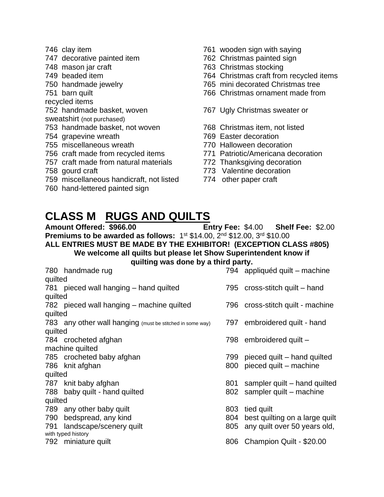- 
- 747 decorative painted item 762 Christmas painted sign
- 
- 
- 
- 
- recycled items
- 
- sweatshirt (not purchased)
- 753 handmade basket, not woven 768 Christmas item, not listed
- 
- 
- 756 craft made from recycled items 771 Patriotic/Americana decoration
- 757 craft made from natural materials 772 Thanksgiving decoration
- 
- 759 miscellaneous handicraft, not listed 774 other paper craft
- 760 hand-lettered painted sign
- 746 clay item 761 wooden sign with saying
	-
- 748 mason jar craft 763 Christmas stocking
- 749 beaded item 764 Christmas craft from recycled items
- 750 handmade jewelry 765 mini decorated Christmas tree
- 751 barn quilt 766 Christmas ornament made from
- 752 handmade basket, woven 767 Ugly Christmas sweater or
	-
- 754 grapevine wreath 769 Easter decoration
- 755 miscellaneous wreath 770 Halloween decoration
	-
	-
- 758 gourd craft 773 Valentine decoration
	-

### **CLASS M RUGS AND QUILTS**

**Amount Offered: \$966.00 Entry Fee:** \$4.00 **Shelf Fee:** \$2.00 **Premiums to be awarded as follows:** 1<sup>st</sup> \$14.00, 2<sup>nd</sup> \$12.00, 3<sup>rd</sup> \$10.00 **ALL ENTRIES MUST BE MADE BY THE EXHIBITOR! (EXCEPTION CLASS #805) We welcome all quilts but please let Show Superintendent know if quilting was done by a third party.**

|         | 780 handmade rug                                          |     | 794 appliquéd quilt – machine    |
|---------|-----------------------------------------------------------|-----|----------------------------------|
| quilted |                                                           |     |                                  |
|         | 781 pieced wall hanging - hand quilted                    |     | 795 cross-stitch quilt – hand    |
| quilted |                                                           |     |                                  |
|         | 782 pieced wall hanging – machine quilted                 |     | 796 cross-stitch quilt - machine |
| quilted |                                                           |     |                                  |
|         | 783 any other wall hanging (must be stitched in some way) |     | 797 embroidered quilt - hand     |
| quilted |                                                           |     |                                  |
|         | 784 crocheted afghan                                      | 798 | embroidered quilt -              |
|         | machine quilted                                           |     |                                  |
|         | 785 crocheted baby afghan                                 | 799 | pieced quilt – hand quilted      |
|         | 786 knit afghan                                           | 800 | pieced quilt - machine           |
| quilted |                                                           |     |                                  |
|         | 787 knit baby afghan                                      | 801 | sampler quilt – hand quilted     |
|         | 788 baby quilt - hand quilted                             | 802 | sampler quilt – machine          |
| quilted |                                                           |     |                                  |
|         | 789 any other baby quilt                                  | 803 | tied quilt                       |
| 790     | bedspread, any kind                                       | 804 | best quilting on a large quilt   |
| 791     | landscape/scenery quilt                                   | 805 | any quilt over 50 years old,     |
|         | with typed history                                        |     |                                  |
|         | 792 miniature quilt                                       | 806 | Champion Quilt - \$20.00         |
|         |                                                           |     |                                  |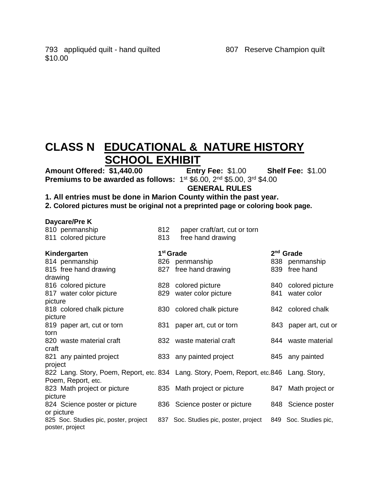## **CLASS N EDUCATIONAL & NATURE HISTORY SCHOOL EXHIBIT**<br>
\$1,440.00 Entry Fee: \$1.00

**Amount Offered: \$1,440.00 Entry Fee:** \$1.00 **Shelf Fee:** \$1.00 **Premiums to be awarded as follows:** 1<sup>st</sup> \$6.00, 2<sup>nd</sup> \$5.00, 3<sup>rd</sup> \$4.00

 **GENERAL RULES**

**1. All entries must be done in Marion County within the past year.**

**2. Colored pictures must be original not a preprinted page or coloring book page.**

| Daycare/Pre K                                                                           |     |                                       |     |                       |  |
|-----------------------------------------------------------------------------------------|-----|---------------------------------------|-----|-----------------------|--|
| 810 penmanship                                                                          | 812 | paper craft/art, cut or torn          |     |                       |  |
| 811 colored picture                                                                     | 813 | free hand drawing                     |     |                       |  |
| Kindergarten                                                                            |     | 1 <sup>st</sup> Grade                 |     | $2nd$ Grade           |  |
| 814 penmanship                                                                          |     | 826 penmanship                        |     | 838 penmanship        |  |
| 815 free hand drawing                                                                   |     | 827 free hand drawing                 | 839 | free hand             |  |
| drawing                                                                                 |     |                                       |     |                       |  |
| 816 colored picture                                                                     |     | 828 colored picture                   |     | 840 colored picture   |  |
| 817 water color picture                                                                 | 829 | water color picture                   | 841 | water color           |  |
| picture                                                                                 |     |                                       |     |                       |  |
| 818 colored chalk picture                                                               |     | 830 colored chalk picture             |     | 842 colored chalk     |  |
| picture                                                                                 |     |                                       |     |                       |  |
| 819 paper art, cut or torn                                                              | 831 | paper art, cut or torn                |     | 843 paper art, cut or |  |
| torn                                                                                    |     |                                       |     |                       |  |
| 820 waste material craft                                                                |     | 832 waste material craft              |     | 844 waste material    |  |
| craft                                                                                   |     |                                       |     |                       |  |
| 821 any painted project                                                                 |     | 833 any painted project               |     | 845 any painted       |  |
| project                                                                                 |     |                                       |     |                       |  |
| 822 Lang. Story, Poem, Report, etc. 834 Lang. Story, Poem, Report, etc.846 Lang. Story, |     |                                       |     |                       |  |
| Poem, Report, etc.                                                                      |     |                                       |     |                       |  |
| 823 Math project or picture                                                             |     | 835 Math project or picture           | 847 | Math project or       |  |
| picture                                                                                 |     |                                       |     |                       |  |
| 824 Science poster or picture                                                           |     | 836 Science poster or picture         |     | 848 Science poster    |  |
| or picture                                                                              |     |                                       |     |                       |  |
| 825 Soc. Studies pic, poster, project                                                   |     | 837 Soc. Studies pic, poster, project |     | 849 Soc. Studies pic, |  |
| poster, project                                                                         |     |                                       |     |                       |  |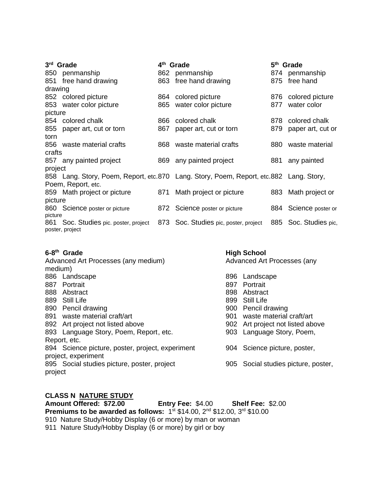| 3rd Grade |                                                          | 4 <sup>th</sup> Grade |                                                                                        | 5 <sup>th</sup> Grade |                       |
|-----------|----------------------------------------------------------|-----------------------|----------------------------------------------------------------------------------------|-----------------------|-----------------------|
|           | 850 penmanship                                           | 862                   | penmanship                                                                             |                       | 874 penmanship        |
|           | 851 free hand drawing                                    |                       | 863 free hand drawing                                                                  |                       | 875 free hand         |
| drawing   |                                                          |                       |                                                                                        |                       |                       |
|           | 852 colored picture                                      | 864                   | colored picture                                                                        | 876                   | colored picture       |
|           | 853 water color picture                                  | 865                   | water color picture                                                                    | 877                   | water color           |
| picture   |                                                          |                       |                                                                                        |                       |                       |
|           | 854 colored chalk                                        | 866                   | colored chalk                                                                          | 878                   | colored chalk         |
|           | 855 paper art, cut or torn                               | 867                   | paper art, cut or torn                                                                 | 879                   | paper art, cut or     |
| torn      |                                                          |                       |                                                                                        |                       |                       |
|           | 856 waste material crafts                                | 868                   | waste material crafts                                                                  | 880                   | waste material        |
| crafts    |                                                          |                       |                                                                                        |                       |                       |
|           | 857 any painted project                                  |                       | 869 any painted project                                                                | 881                   | any painted           |
| project   |                                                          |                       |                                                                                        |                       |                       |
|           |                                                          |                       | 858 Lang. Story, Poem, Report, etc.870 Lang. Story, Poem, Report, etc.882 Lang. Story, |                       |                       |
|           | Poem, Report, etc.                                       |                       |                                                                                        |                       |                       |
|           | 859 Math project or picture                              | 871                   | Math project or picture                                                                | 883                   | Math project or       |
| picture   |                                                          |                       |                                                                                        |                       |                       |
|           | 860 Science poster or picture                            |                       | 872 Science poster or picture                                                          |                       | 884 Science poster or |
| picture   |                                                          |                       |                                                                                        |                       |                       |
|           | 861 Soc. Studies pic. poster, project<br>poster, project | 873                   | Soc. Studies pic, poster, project                                                      |                       | 885 Soc. Studies pic, |

#### **6-8**

| Advanced Art Processes (any medium) |                                                                                                                                                                                                                                                                                                                                                                     | Advanced Art Processes (any         |  |  |
|-------------------------------------|---------------------------------------------------------------------------------------------------------------------------------------------------------------------------------------------------------------------------------------------------------------------------------------------------------------------------------------------------------------------|-------------------------------------|--|--|
|                                     |                                                                                                                                                                                                                                                                                                                                                                     |                                     |  |  |
|                                     | 896                                                                                                                                                                                                                                                                                                                                                                 | Landscape                           |  |  |
|                                     | 897                                                                                                                                                                                                                                                                                                                                                                 | Portrait                            |  |  |
|                                     | 898                                                                                                                                                                                                                                                                                                                                                                 | Abstract                            |  |  |
|                                     |                                                                                                                                                                                                                                                                                                                                                                     | 899 Still Life                      |  |  |
|                                     | 900                                                                                                                                                                                                                                                                                                                                                                 | Pencil drawing                      |  |  |
|                                     | 901                                                                                                                                                                                                                                                                                                                                                                 | waste material craft/art            |  |  |
|                                     | 902                                                                                                                                                                                                                                                                                                                                                                 | Art project not listed above        |  |  |
|                                     |                                                                                                                                                                                                                                                                                                                                                                     | 903 Language Story, Poem,           |  |  |
|                                     |                                                                                                                                                                                                                                                                                                                                                                     |                                     |  |  |
|                                     |                                                                                                                                                                                                                                                                                                                                                                     | 904 Science picture, poster,        |  |  |
|                                     |                                                                                                                                                                                                                                                                                                                                                                     |                                     |  |  |
|                                     |                                                                                                                                                                                                                                                                                                                                                                     | 905 Social studies picture, poster, |  |  |
|                                     |                                                                                                                                                                                                                                                                                                                                                                     |                                     |  |  |
|                                     |                                                                                                                                                                                                                                                                                                                                                                     |                                     |  |  |
|                                     | medium)<br>886 Landscape<br>887 Portrait<br>888 Abstract<br>889 Still Life<br>890 Pencil drawing<br>891 waste material craft/art<br>892 Art project not listed above<br>893 Language Story, Poem, Report, etc.<br>Report, etc.<br>894 Science picture, poster, project, experiment<br>project, experiment<br>895 Social studies picture, poster, project<br>project |                                     |  |  |

**High School** 

#### **CLASS N NATURE STUDY**

**Amount Offered: \$72.00 Entry Fee:** \$4.00 **Shelf Fee:** \$2.00 **Premiums to be awarded as follows:** 1st \$14.00, 2<sup>nd</sup> \$12.00, 3<sup>rd</sup> \$10.00 910 Nature Study/Hobby Display (6 or more) by man or woman 911 Nature Study/Hobby Display (6 or more) by girl or boy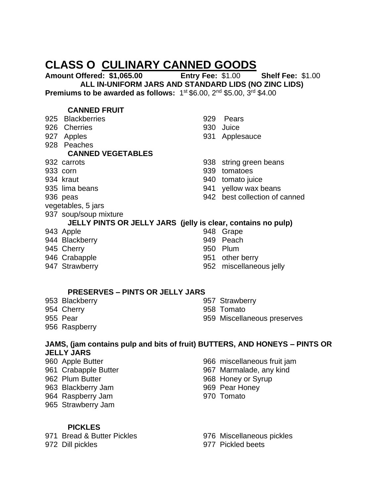### **CLASS O CULINARY CANNED GOODS**

**Amount Offered: \$1,065.00 Entry Fee:** \$1.00 **Shelf Fee:** \$1.00 **ALL IN-UNIFORM JARS AND STANDARD LIDS (NO ZINC LIDS) Premiums to be awarded as follows:** 1<sup>st</sup> \$6.00, 2<sup>nd</sup> \$5.00, 3<sup>rd</sup> \$4.00

#### **CANNED FRUIT**

- 925 Blackberries 929 Pears 926 Cherries 930 Juice 927 Apples 931 Applesauce 928 Peaches **CANNED VEGETABLES** 932 carrots 938 string green beans 933 corn 939 tomatoes 934 kraut 940 tomato juice 935 lima beans 941 yellow wax beans 936 peas 942 best collection of canned vegetables, 5 jars 937 soup/soup mixture **JELLY PINTS OR JELLY JARS (jelly is clear, contains no pulp)** 943 Apple 943 Grape 944 Blackberry 949 Peach 945 Cherry **950 Plum** 946 Crabapple 946 Crabapple 951 other berry
- 
- 
- 
- 

- 947 Strawberry 952 miscellaneous jelly
	-

#### **PRESERVES – PINTS OR JELLY JARS**

- 954 Cherry 958 Tomato
- 953 Blackberry 957 Strawberry
	-
- 955 Pear 959 Miscellaneous preserves
- 956 Raspberry

#### **JAMS, (jam contains pulp and bits of fruit) BUTTERS, AND HONEYS – PINTS OR JELLY JARS**

- 
- 
- 
- 
- 965 Strawberry Jam
	- **PICKLES**

- 960 Apple Butter 966 miscellaneous fruit jam
- 961 Crabapple Butter 1967 Marmalade, any kind
- 962 Plum Butter 368 Honey or Syrup
- 963 Blackberry Jam 969 Pear Honey
- 964 Raspberry Jam 970 Tomato

971 Bread & Butter Pickles 976 Miscellaneous pickles

972 Dill pickles 977 Pickled beets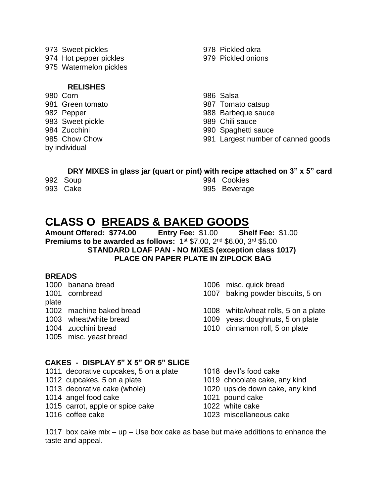- 973 Sweet pickles 978 Pickled okra
- 
- 975 Watermelon pickles

#### **RELISHES**

980 Corn 986 Salsa 981 Green tomato 987 Tomato catsup 982 Pepper 988 Barbeque sauce 983 Sweet pickle **1989** Chili sauce by individual

- 974 Hot pepper pickles 979 Pickled onions
	-
	-
	-
	-
- 984 Zucchini 990 Spaghetti sauce
- 985 Chow Chow 991 Largest number of canned goods

#### **DRY MIXES in glass jar (quart or pint) with recipe attached on 3" x 5" card**

|        | 992 Soup        |  |
|--------|-----------------|--|
| $\sim$ | $\sim$ - $\sim$ |  |

994 Cookies 993 Cake 995 Beverage

## **CLASS O BREADS & BAKED GOODS**

**Amount Offered: \$774.00 Entry Fee:** \$1.00 **Shelf Fee:** \$1.00 **Premiums to be awarded as follows:** 1<sup>st</sup> \$7.00, 2<sup>nd</sup> \$6.00, 3<sup>rd</sup> \$5.00 **STANDARD LOAF PAN - NO MIXES (exception class 1017) PLACE ON PAPER PLATE IN ZIPLOCK BAG**

#### **BREADS**

- plate 1005 misc. yeast bread
- 1000 banana bread 1006 misc. quick bread

1001 cornbread 1007 baking powder biscuits, 5 on

- 1002 machine baked bread 1008 white/wheat rolls, 5 on a plate
- 1003 wheat/white bread 1009 yeast doughnuts, 5 on plate
- 1004 zucchini bread 1010 cinnamon roll, 5 on plate

#### **CAKES - DISPLAY 5" X 5" OR 5" SLICE**

- 1011 decorative cupcakes, 5 on a plate 1018 devil's food cake
- 
- 
- 1014 angel food cake 1021 pound cake
- 1015 carrot, apple or spice cake 1022 white cake
- 
- 
- 1012 cupcakes, 5 on a plate 1019 chocolate cake, any kind
- 1013 decorative cake (whole) 1020 upside down cake, any kind
	-
	-
- 1016 coffee cake 1023 miscellaneous cake

1017 box cake mix – up – Use box cake as base but make additions to enhance the taste and appeal.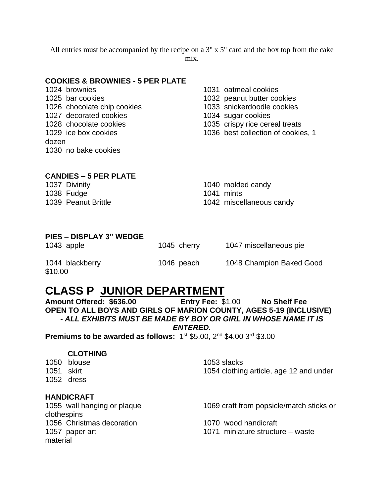All entries must be accompanied by the recipe on a 3" x 5" card and the box top from the cake mix.

#### **COOKIES & BROWNIES - 5 PER PLATE**

- 1024 brownies 1031 oatmeal cookies 1025 bar cookies 1032 peanut butter cookies 1026 chocolate chip cookies 1033 snickerdoodle cookies 1027 decorated cookies 1034 sugar cookies dozen 1030 no bake cookies
- -
	-
	-
- 1028 chocolate cookies 1035 crispy rice cereal treats
- 1029 ice box cookies 1036 best collection of cookies, 1

#### **CANDIES – 5 PER PLATE**

1038 Fudge 1038 Fudge 1041 mints

1037 Divinity 1040 molded candy

1039 Peanut Brittle 1042 miscellaneous candy

#### **PIES – DISPLAY 3" WEDGE**

1043 apple 1045 cherry 1047 miscellaneous pie 1044 blackberry 1046 peach 1048 Champion Baked Good \$10.00

### **CLASS P JUNIOR DEPARTMENT**

**Amount Offered: \$636.00 Entry Fee:** \$1.00 **No Shelf Fee OPEN TO ALL BOYS AND GIRLS OF MARION COUNTY, AGES 5-19 (INCLUSIVE)** *- ALL EXHIBITS MUST BE MADE BY BOY OR GIRL IN WHOSE NAME IT IS*

*ENTERED.* 

**Premiums to be awarded as follows:** 1<sup>st</sup> \$5.00, 2<sup>nd</sup> \$4.00 3<sup>rd</sup> \$3.00

#### **CLOTHING**

1050 blouse 1053 slacks 1052 dress

1051 skirt 1054 clothing article, age 12 and under

#### **HANDICRAFT**

clothespins 1056 Christmas decoration 1070 wood handicraft material

1055 wall hanging or plaque 1069 craft from popsicle/match sticks or

1057 paper art 1071 miniature structure – waste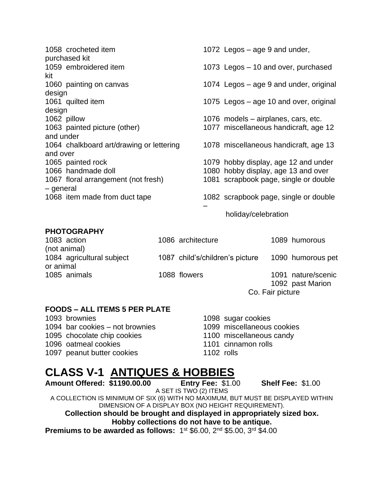|             | 1058 crocheted item<br>purchased kit     | 1072 Legos – age 9 and under,          |
|-------------|------------------------------------------|----------------------------------------|
|             | 1059 embroidered item                    | 1073 Legos - 10 and over, purchased    |
| kit         |                                          |                                        |
|             | 1060 painting on canvas                  | 1074 Legos – age 9 and under, original |
| design      |                                          |                                        |
|             | 1061 quilted item                        | 1075 Legos – age 10 and over, original |
| design      |                                          |                                        |
| 1062 pillow |                                          | 1076 models – airplanes, cars, etc.    |
|             | 1063 painted picture (other)             | 1077 miscellaneous handicraft, age 12  |
| and under   |                                          |                                        |
|             | 1064 chalkboard art/drawing or lettering | 1078 miscellaneous handicraft, age 13  |
| and over    |                                          |                                        |
|             |                                          |                                        |
|             | 1065 painted rock                        | 1079 hobby display, age 12 and under   |
|             | 1066 handmade doll                       | 1080 hobby display, age 13 and over    |
|             | 1067 floral arrangement (not fresh)      | 1081 scrapbook page, single or double  |
| - general   |                                          |                                        |
|             | 1068 item made from duct tape            | 1082 scrapbook page, single or double  |
|             |                                          |                                        |
|             |                                          |                                        |

#### **PHOTOGRAPHY**

| 1083 action               | 1086 architecture               |                  | 1089 humorous      |
|---------------------------|---------------------------------|------------------|--------------------|
| (not animal)              |                                 |                  |                    |
| 1084 agricultural subject | 1087 child's/children's picture |                  | 1090 humorous pet  |
| or animal                 |                                 |                  |                    |
| 1085 animals              | 1088 flowers                    |                  | 1091 nature/scenic |
|                           |                                 |                  | 1092 past Marion   |
|                           |                                 | Co. Fair picture |                    |

#### **FOODS – ALL ITEMS 5 PER PLATE**

| 1093 brownies                   |
|---------------------------------|
| 1094 bar cookies – not brownies |
| 1095 chocolate chip cookies     |
| 1096 oatmeal cookies            |
| 1097 peanut butter cookies      |

1098 sugar cookies 1099 miscellaneous cookies 1100 miscellaneous candy 1101 cinnamon rolls 1102 rolls

holiday/celebration

# **CLASS V-1 ANTIQUES & HOBBIES**<br>Amount Offered: \$1190.00.00 Entry Fee: \$1.00

**Amount Offered: \$1190.00.00 Entry Fee:** \$1.00 **Shelf Fee:** \$1.00 A SET IS TWO (2) ITEMS A COLLECTION IS MINIMUM OF SIX (6) WITH NO MAXIMUM, BUT MUST BE DISPLAYED WITHIN DIMENSION OF A DISPLAY BOX (NO HEIGHT REQUIREMENT). **Collection should be brought and displayed in appropriately sized box. Hobby collections do not have to be antique. Premiums to be awarded as follows:** 1<sup>st</sup> \$6.00, 2<sup>nd</sup> \$5.00, 3<sup>rd</sup> \$4.00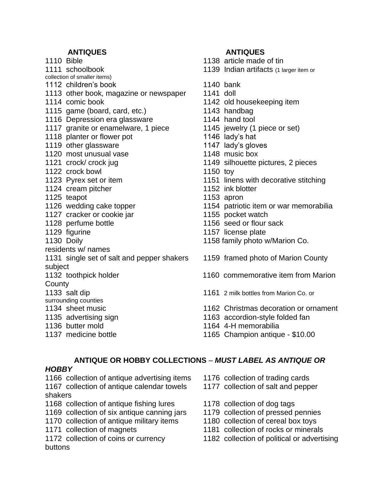#### **ANTIQUES ANTIQUES**

- collection of smaller items)
- 1112 children's book 1140 bank
- 1113 other book, magazine or newspaper 1141 doll
- 
- 1115 game (board, card, etc.) 1143 handbag
- 1116 Depression era glassware 1144 hand tool
- 1117 granite or enamelware, 1 piece 1145 jewelry (1 piece or set)
- 1118 planter or flower pot 1146 lady's hat
- 1119 other glassware 1147 lady's gloves
- 1120 most unusual vase 1148 music box
- 
- 1122 crock bowl 1150 toy
- 
- 1124 cream pitcher 1152 ink blotter
- 1125 teapot 1125 apron
- 
- 1127 cracker or cookie jar 1155 pocket watch
- 
- 
- 
- residents w/ names
- 1131 single set of salt and pepper shakers 1159 framed photo of Marion County subject
- 
- **County**
- 
- surrounding counties
- 
- 
- 
- 

- 1110 Bible 1138 article made of tin
- 1111 schoolbook 1139 Indian artifacts (1 larger item or
	-
	-
- 1114 comic book 1142 old housekeeping item
	-
	-
	-
	-
	-
	-
- 1121 crock/ crock jug 1149 silhouette pictures, 2 pieces
	-
- 1123 Pyrex set or item 1151 linens with decorative stitching
	-
	-
- 1126 wedding cake topper 1154 patriotic item or war memorabilia
	-
- 1128 perfume bottle 1156 seed or flour sack
- 1129 figurine 1157 license plate
- 1130 Doily 1158 family photo w/Marion Co.
	-
- 1132 toothpick holder 1160 commemorative item from Marion
- 1133 salt dip 1161 2 milk bottles from Marion Co. or
- 1134 sheet music 1162 Christmas decoration or ornament
- 1135 advertising sign 1163 accordion-style folded fan
- 1136 butter mold 1164 4-H memorabilia
- 1137 medicine bottle1165 Champion antique \$10.00

### **ANTIQUE OR HOBBY COLLECTIONS** – *MUST LABEL AS ANTIQUE OR*

#### *HOBBY*

1166 collection of antique advertising items 1176 collection of trading cards 1167 collection of antique calendar towels 1177 collection of salt and pepper shakers

- 1168 collection of antique fishing lures 1178 collection of dog tags
- 1169 collection of six antique canning jars 1179 collection of pressed pennies
- 1170 collection of antique military items 1180 collection of cereal box toys
- 
- buttons
- 
- 
- 
- 
- 
- 1171 collection of magnets 1181 collection of rocks or minerals
- 1172 collection of coins or currency 1182 collection of political or advertising